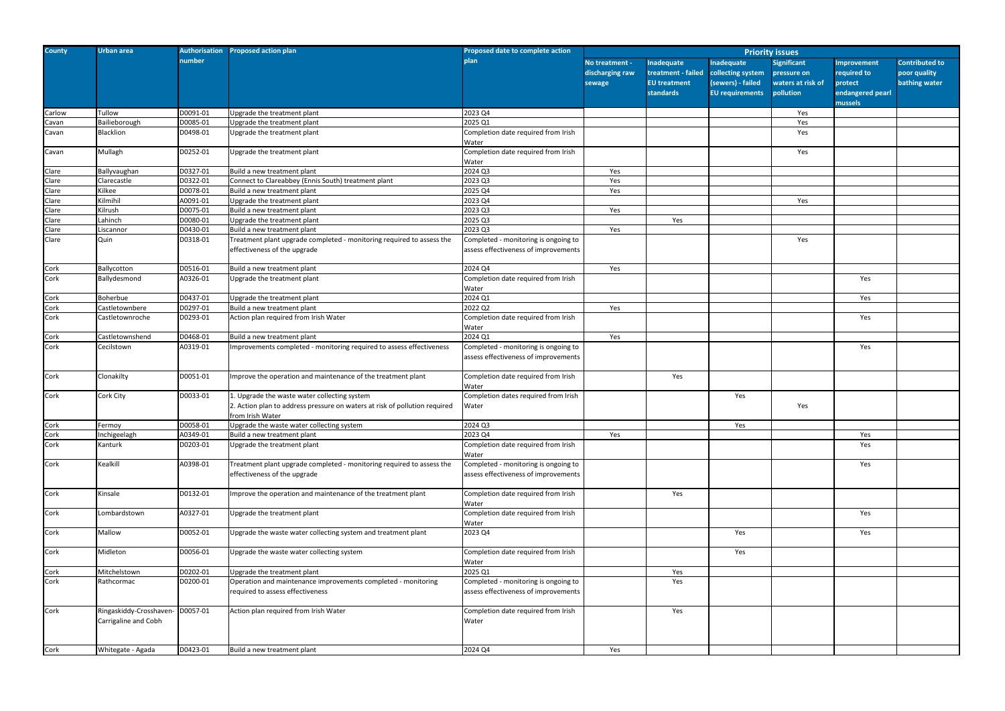| <b>County</b> | Urban area                                      |          | Authorisation Proposed action plan                                                                                                             | <b>Proposed date to complete action</b>                                      | <b>Priority issues</b>                      |                                                                             |                                                                                |                                                                     |                                                                             |                                                        |
|---------------|-------------------------------------------------|----------|------------------------------------------------------------------------------------------------------------------------------------------------|------------------------------------------------------------------------------|---------------------------------------------|-----------------------------------------------------------------------------|--------------------------------------------------------------------------------|---------------------------------------------------------------------|-----------------------------------------------------------------------------|--------------------------------------------------------|
|               |                                                 | number   |                                                                                                                                                | olanl                                                                        | No treatment -<br>discharging raw<br>sewage | Inadequate<br>treatment - failed<br><b>EU treatment</b><br><b>standards</b> | Inadequate<br>collecting system<br>(sewers) - failed<br><b>EU</b> requirements | <b>Significant</b><br>pressure on<br>waters at risk of<br>pollution | <b>Improvement</b><br>required to<br>protect<br>endangered pearl<br>mussels | <b>Contributed to</b><br>poor quality<br>bathing water |
| Carlow        | Tullow                                          | D0091-01 | Upgrade the treatment plant                                                                                                                    | 2023 Q4                                                                      |                                             |                                                                             |                                                                                | Yes                                                                 |                                                                             |                                                        |
| Cavan         | Bailieborough                                   | D0085-01 | Upgrade the treatment plant                                                                                                                    | 2025 Q1                                                                      |                                             |                                                                             |                                                                                | Yes                                                                 |                                                                             |                                                        |
| Cavan         | Blacklion                                       | D0498-01 | Upgrade the treatment plant                                                                                                                    | Completion date required from Irish<br>Water                                 |                                             |                                                                             |                                                                                | Yes                                                                 |                                                                             |                                                        |
| Cavan         | Mullagh                                         | D0252-01 | Upgrade the treatment plant                                                                                                                    | Completion date required from Irish<br>Water                                 |                                             |                                                                             |                                                                                | Yes                                                                 |                                                                             |                                                        |
| Clare         | Ballyvaughan                                    | D0327-01 | Build a new treatment plant                                                                                                                    | 2024 Q3                                                                      | Yes                                         |                                                                             |                                                                                |                                                                     |                                                                             |                                                        |
| Clare         | Clarecastle                                     | D0322-01 | Connect to Clareabbey (Ennis South) treatment plant                                                                                            | 2023 Q3                                                                      | Yes                                         |                                                                             |                                                                                |                                                                     |                                                                             |                                                        |
| Clare         | Kilkee                                          | D0078-01 | Build a new treatment plant                                                                                                                    | 2025 Q4                                                                      | Yes                                         |                                                                             |                                                                                |                                                                     |                                                                             |                                                        |
| Clare         | Kilmihil                                        | A0091-01 | Upgrade the treatment plant                                                                                                                    | 2023 Q4                                                                      |                                             |                                                                             |                                                                                | Yes                                                                 |                                                                             |                                                        |
| Clare         | Kilrush                                         | D0075-01 | Build a new treatment plant                                                                                                                    | 2023 Q3                                                                      | Yes                                         |                                                                             |                                                                                |                                                                     |                                                                             |                                                        |
| Clare         | Lahinch                                         | D0080-01 | Upgrade the treatment plant                                                                                                                    | 2025 Q3                                                                      |                                             | Yes                                                                         |                                                                                |                                                                     |                                                                             |                                                        |
| Clare         | Liscannor                                       | D0430-01 | Build a new treatment plant                                                                                                                    | 2023 Q3                                                                      | Yes                                         |                                                                             |                                                                                |                                                                     |                                                                             |                                                        |
| Clare         | Quin                                            | D0318-01 | Treatment plant upgrade completed - monitoring required to assess the<br>effectiveness of the upgrade                                          | Completed - monitoring is ongoing to<br>assess effectiveness of improvements |                                             |                                                                             |                                                                                | Yes                                                                 |                                                                             |                                                        |
| Cork          | Ballycotton                                     | D0516-01 | Build a new treatment plant                                                                                                                    | 2024 Q4                                                                      | Yes                                         |                                                                             |                                                                                |                                                                     |                                                                             |                                                        |
| Cork          | Ballydesmond                                    | A0326-01 | Upgrade the treatment plant                                                                                                                    | Completion date required from Irish<br>Water                                 |                                             |                                                                             |                                                                                |                                                                     | Yes                                                                         |                                                        |
| Cork          | Boherbue                                        | D0437-01 | Upgrade the treatment plant                                                                                                                    | 2024 Q1                                                                      |                                             |                                                                             |                                                                                |                                                                     | Yes                                                                         |                                                        |
| Cork          | Castletownbere                                  | D0297-01 | Build a new treatment plant                                                                                                                    | 2022 Q2                                                                      | Yes                                         |                                                                             |                                                                                |                                                                     |                                                                             |                                                        |
| Cork          | Castletownroche                                 | D0293-01 | Action plan required from Irish Water                                                                                                          | Completion date required from Irish<br>Water                                 |                                             |                                                                             |                                                                                |                                                                     | Yes                                                                         |                                                        |
| Cork          | Castletownshend                                 | D0468-01 | Build a new treatment plant                                                                                                                    | 2024Q1                                                                       | Yes                                         |                                                                             |                                                                                |                                                                     |                                                                             |                                                        |
| Cork          | Cecilstown                                      | A0319-01 | Improvements completed - monitoring required to assess effectiveness                                                                           | Completed - monitoring is ongoing to<br>assess effectiveness of improvements |                                             |                                                                             |                                                                                |                                                                     | Yes                                                                         |                                                        |
| Cork          | Clonakilty                                      | D0051-01 | Improve the operation and maintenance of the treatment plant                                                                                   | Completion date required from Irish<br>Water                                 |                                             | Yes                                                                         |                                                                                |                                                                     |                                                                             |                                                        |
| Cork          | Cork City                                       | D0033-01 | 1. Upgrade the waste water collecting system<br>2. Action plan to address pressure on waters at risk of pollution required<br>from Irish Water | Completion dates required from Irish<br>Water                                |                                             |                                                                             | Yes                                                                            | Yes                                                                 |                                                                             |                                                        |
| Cork          | Fermoy                                          | D0058-01 | Upgrade the waste water collecting system                                                                                                      | 2024 Q3                                                                      |                                             |                                                                             | Yes                                                                            |                                                                     |                                                                             |                                                        |
| Cork          | Inchigeelagh                                    | A0349-01 | Build a new treatment plant                                                                                                                    | 2023 Q4                                                                      | Yes                                         |                                                                             |                                                                                |                                                                     | Yes                                                                         |                                                        |
| Cork          | Kanturk                                         | D0203-01 | Upgrade the treatment plant                                                                                                                    | Completion date required from Irish<br>Water                                 |                                             |                                                                             |                                                                                |                                                                     | Yes                                                                         |                                                        |
| Cork          | Kealkill                                        | A0398-01 | Treatment plant upgrade completed - monitoring required to assess the<br>effectiveness of the upgrade                                          | Completed - monitoring is ongoing to<br>assess effectiveness of improvements |                                             |                                                                             |                                                                                |                                                                     | Yes                                                                         |                                                        |
| Cork          | Kinsale                                         | D0132-01 | Improve the operation and maintenance of the treatment plant                                                                                   | Completion date required from Irish<br>Water                                 |                                             | Yes                                                                         |                                                                                |                                                                     |                                                                             |                                                        |
| Cork          | Lombardstown                                    | A0327-01 | Upgrade the treatment plant                                                                                                                    | Completion date required from Irish<br>Water                                 |                                             |                                                                             |                                                                                |                                                                     | Yes                                                                         |                                                        |
| Cork          | Mallow                                          | D0052-01 | Upgrade the waste water collecting system and treatment plant                                                                                  | 2023 Q4                                                                      |                                             |                                                                             | Yes                                                                            |                                                                     | Yes                                                                         |                                                        |
| Cork          | Midleton                                        | D0056-01 | Upgrade the waste water collecting system                                                                                                      | Completion date required from Irish<br>Water                                 |                                             |                                                                             | Yes                                                                            |                                                                     |                                                                             |                                                        |
| Cork          | Mitchelstown                                    | D0202-01 | Upgrade the treatment plant                                                                                                                    | 2025 Q1                                                                      |                                             | Yes                                                                         |                                                                                |                                                                     |                                                                             |                                                        |
| Cork          | Rathcormac                                      | D0200-01 | Operation and maintenance improvements completed - monitoring<br>required to assess effectiveness                                              | Completed - monitoring is ongoing to<br>assess effectiveness of improvements |                                             | Yes                                                                         |                                                                                |                                                                     |                                                                             |                                                        |
| Cork          | Ringaskiddy-Crosshaven-<br>Carrigaline and Cobh | D0057-01 | Action plan required from Irish Water                                                                                                          | Completion date required from Irish<br>Water                                 |                                             | Yes                                                                         |                                                                                |                                                                     |                                                                             |                                                        |
| Cork          | Whitegate - Agada                               | D0423-01 | Build a new treatment plant                                                                                                                    | 2024 Q4                                                                      | Yes                                         |                                                                             |                                                                                |                                                                     |                                                                             |                                                        |
|               |                                                 |          |                                                                                                                                                |                                                                              |                                             |                                                                             |                                                                                |                                                                     |                                                                             |                                                        |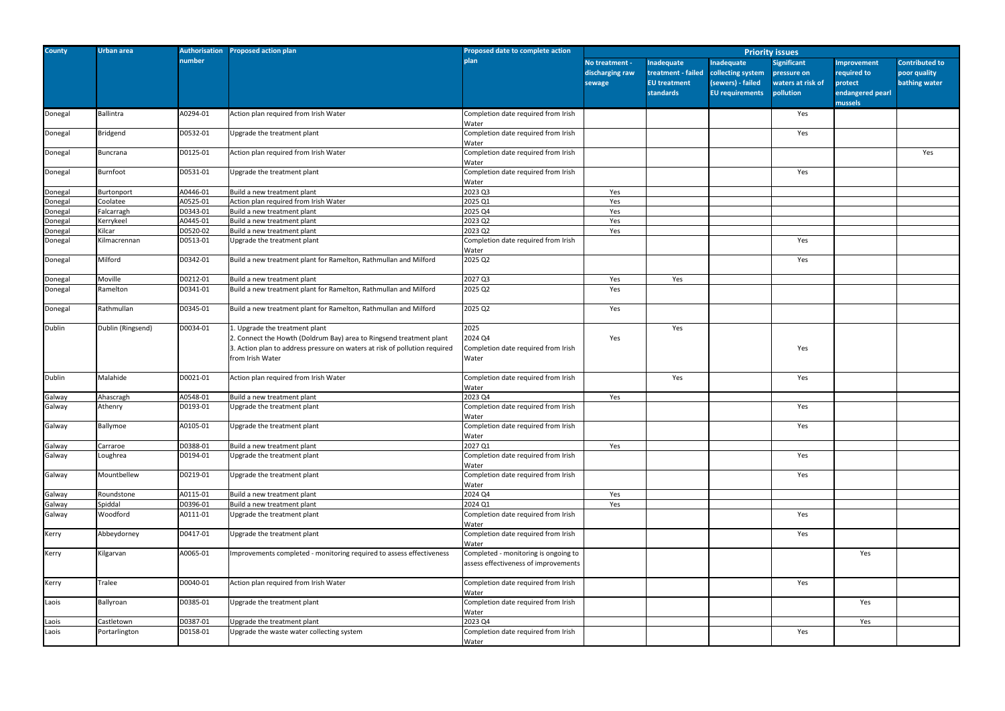| <b>County</b> | <b>Urban area</b> | Authorisation | <b>Proposed action plan</b>                                                                                                                                                                             | Proposed date to complete action                                             | <b>Priority issues</b>                      |                                                                                    |                                                                                |                                                                     |                                                                   |  |
|---------------|-------------------|---------------|---------------------------------------------------------------------------------------------------------------------------------------------------------------------------------------------------------|------------------------------------------------------------------------------|---------------------------------------------|------------------------------------------------------------------------------------|--------------------------------------------------------------------------------|---------------------------------------------------------------------|-------------------------------------------------------------------|--|
|               |                   | number        |                                                                                                                                                                                                         | plan                                                                         | No treatment -<br>discharging raw<br>sewage | <b>Inadequate</b><br>treatment - failed<br><b>EU</b> treatment<br><b>standards</b> | Inadequate<br>collecting system<br>(sewers) - failed<br><b>EU</b> requirements | <b>Significant</b><br>pressure on<br>waters at risk of<br>pollution | <b>Improvem</b><br>required tc<br>protect<br>endangere<br>mussels |  |
| Donegal       | <b>Ballintra</b>  | A0294-01      | Action plan required from Irish Water                                                                                                                                                                   | Completion date required from Irish<br>Water                                 |                                             |                                                                                    |                                                                                | Yes                                                                 |                                                                   |  |
| Donegal       | <b>Bridgend</b>   | D0532-01      | Upgrade the treatment plant                                                                                                                                                                             | Completion date required from Irish<br>Water                                 |                                             |                                                                                    |                                                                                | Yes                                                                 |                                                                   |  |
| Donegal       | Buncrana          | D0125-01      | Action plan required from Irish Water                                                                                                                                                                   | Completion date required from Irish<br>Water                                 |                                             |                                                                                    |                                                                                |                                                                     |                                                                   |  |
| Donegal       | Burnfoot          | D0531-01      | Upgrade the treatment plant                                                                                                                                                                             | Completion date required from Irish<br>Water                                 |                                             |                                                                                    |                                                                                | Yes                                                                 |                                                                   |  |
| Donegal       | Burtonport        | A0446-01      | Build a new treatment plant                                                                                                                                                                             | 2023 Q3                                                                      | Yes                                         |                                                                                    |                                                                                |                                                                     |                                                                   |  |
| Donegal       | Coolatee          | A0525-01      | Action plan required from Irish Water                                                                                                                                                                   | 2025 Q1                                                                      | Yes                                         |                                                                                    |                                                                                |                                                                     |                                                                   |  |
| Donegal       | Falcarragh        | D0343-01      | Build a new treatment plant                                                                                                                                                                             | 2025 Q4                                                                      | Yes                                         |                                                                                    |                                                                                |                                                                     |                                                                   |  |
| Donegal       | Kerrykeel         | A0445-01      | Build a new treatment plant                                                                                                                                                                             | 2023 Q2                                                                      | Yes                                         |                                                                                    |                                                                                |                                                                     |                                                                   |  |
| Donegal       | Kilcar            | D0520-02      | Build a new treatment plant                                                                                                                                                                             | 2023 Q2                                                                      | Yes                                         |                                                                                    |                                                                                |                                                                     |                                                                   |  |
| Donegal       | Kilmacrennan      | D0513-01      | Upgrade the treatment plant                                                                                                                                                                             | Completion date required from Irish<br>Water                                 |                                             |                                                                                    |                                                                                | Yes                                                                 |                                                                   |  |
| Donegal       | Milford           | D0342-01      | Build a new treatment plant for Ramelton, Rathmullan and Milford                                                                                                                                        | 2025 Q2                                                                      |                                             |                                                                                    |                                                                                | Yes                                                                 |                                                                   |  |
| Donegal       | Moville           | D0212-01      | Build a new treatment plant                                                                                                                                                                             | 2027 Q3                                                                      | Yes                                         | Yes                                                                                |                                                                                |                                                                     |                                                                   |  |
| Donegal       | Ramelton          | D0341-01      | Build a new treatment plant for Ramelton, Rathmullan and Milford                                                                                                                                        | 2025 Q2                                                                      | Yes                                         |                                                                                    |                                                                                |                                                                     |                                                                   |  |
| Donegal       | Rathmullan        | D0345-01      | Build a new treatment plant for Ramelton, Rathmullan and Milford                                                                                                                                        | 2025 Q2                                                                      | Yes                                         |                                                                                    |                                                                                |                                                                     |                                                                   |  |
| Dublin        | Dublin (Ringsend) | D0034-01      | 1. Upgrade the treatment plant<br>2. Connect the Howth (Doldrum Bay) area to Ringsend treatment plant<br>3. Action plan to address pressure on waters at risk of pollution required<br>from Irish Water | 2025<br>2024 Q4<br>Completion date required from Irish<br>Water              | Yes                                         | Yes                                                                                |                                                                                | Yes                                                                 |                                                                   |  |
| Dublin        | Malahide          | D0021-01      | Action plan required from Irish Water                                                                                                                                                                   | Completion date required from Irish<br>Water                                 |                                             | Yes                                                                                |                                                                                | Yes                                                                 |                                                                   |  |
| Galway        | Ahascragh         | A0548-01      | Build a new treatment plant                                                                                                                                                                             | 2023 Q4                                                                      | Yes                                         |                                                                                    |                                                                                |                                                                     |                                                                   |  |
| Galway        | Athenry           | D0193-01      | Upgrade the treatment plant                                                                                                                                                                             | Completion date required from Irish<br>Water                                 |                                             |                                                                                    |                                                                                | Yes                                                                 |                                                                   |  |
| Galway        | Ballymoe          | A0105-01      | Upgrade the treatment plant                                                                                                                                                                             | Completion date required from Irish<br>Water                                 |                                             |                                                                                    |                                                                                | Yes                                                                 |                                                                   |  |
| Galway        | Carraroe          | D0388-01      | Build a new treatment plant                                                                                                                                                                             | 2027 Q1                                                                      | Yes                                         |                                                                                    |                                                                                |                                                                     |                                                                   |  |
| Galway        | Loughrea          | D0194-01      | Upgrade the treatment plant                                                                                                                                                                             | Completion date required from Irish<br>Water                                 |                                             |                                                                                    |                                                                                | Yes                                                                 |                                                                   |  |
| Galway        | Mountbellew       | D0219-01      | Upgrade the treatment plant                                                                                                                                                                             | Completion date required from Irish<br>Water                                 |                                             |                                                                                    |                                                                                | Yes                                                                 |                                                                   |  |
| Galway        | Roundstone        | A0115-01      | Build a new treatment plant                                                                                                                                                                             | 2024 Q4                                                                      | Yes                                         |                                                                                    |                                                                                |                                                                     |                                                                   |  |
| Galway        | Spiddal           | D0396-01      | Build a new treatment plant                                                                                                                                                                             | 2024 Q1                                                                      | Yes                                         |                                                                                    |                                                                                |                                                                     |                                                                   |  |
| Galway        | Woodford          | A0111-01      | Upgrade the treatment plant                                                                                                                                                                             | Completion date required from Irish<br>Water                                 |                                             |                                                                                    |                                                                                | Yes                                                                 |                                                                   |  |
| Kerry         | Abbeydorney       | D0417-01      | Upgrade the treatment plant                                                                                                                                                                             | Completion date required from Irish<br>Water                                 |                                             |                                                                                    |                                                                                | Yes                                                                 |                                                                   |  |
| Kerry         | Kilgarvan         | A0065-01      | Improvements completed - monitoring required to assess effectiveness                                                                                                                                    | Completed - monitoring is ongoing to<br>assess effectiveness of improvements |                                             |                                                                                    |                                                                                |                                                                     | Yes                                                               |  |
| Kerry         | Tralee            | D0040-01      | Action plan required from Irish Water                                                                                                                                                                   | Completion date required from Irish<br>Water                                 |                                             |                                                                                    |                                                                                | Yes                                                                 |                                                                   |  |
| Laois         | Ballyroan         | D0385-01      | Upgrade the treatment plant                                                                                                                                                                             | Completion date required from Irish<br>Water                                 |                                             |                                                                                    |                                                                                |                                                                     | Yes                                                               |  |
| Laois         | Castletown        | D0387-01      | Upgrade the treatment plant                                                                                                                                                                             | 2023 Q4                                                                      |                                             |                                                                                    |                                                                                |                                                                     | Yes                                                               |  |
| Laois         | Portarlington     | D0158-01      | Upgrade the waste water collecting system                                                                                                                                                               | Completion date required from Irish<br>Water                                 |                                             |                                                                                    |                                                                                | Yes                                                                 |                                                                   |  |
|               |                   |               |                                                                                                                                                                                                         |                                                                              |                                             |                                                                                    |                                                                                |                                                                     |                                                                   |  |

|        | rity issues                       |                                   |                                       |
|--------|-----------------------------------|-----------------------------------|---------------------------------------|
|        | <b>Significant</b><br>pressure on | <b>Improvement</b><br>required to | <b>Contributed to</b><br>poor quality |
| m<br>Ĺ | waters at risk of                 | protect                           | bathing water                         |
| :s     | pollution                         | endangered pearl                  |                                       |
|        |                                   | mussels                           |                                       |
|        | Yes                               |                                   |                                       |
|        |                                   |                                   |                                       |
|        | Yes                               |                                   |                                       |
|        |                                   |                                   |                                       |
|        |                                   |                                   | Yes                                   |
|        |                                   |                                   |                                       |
|        | Yes                               |                                   |                                       |
|        |                                   |                                   |                                       |
|        |                                   |                                   |                                       |
|        |                                   |                                   |                                       |
|        |                                   |                                   |                                       |
|        |                                   |                                   |                                       |
|        | Yes                               |                                   |                                       |
|        |                                   |                                   |                                       |
|        | Yes                               |                                   |                                       |
|        |                                   |                                   |                                       |
|        |                                   |                                   |                                       |
|        |                                   |                                   |                                       |
|        |                                   |                                   |                                       |
|        |                                   |                                   |                                       |
|        |                                   |                                   |                                       |
|        |                                   |                                   |                                       |
|        | Yes                               |                                   |                                       |
|        |                                   |                                   |                                       |
|        |                                   |                                   |                                       |
|        | Yes                               |                                   |                                       |
|        |                                   |                                   |                                       |
|        | Yes                               |                                   |                                       |
|        |                                   |                                   |                                       |
|        | Yes                               |                                   |                                       |
|        |                                   |                                   |                                       |
|        |                                   |                                   |                                       |
|        | Yes                               |                                   |                                       |
|        |                                   |                                   |                                       |
|        | Yes                               |                                   |                                       |
|        |                                   |                                   |                                       |
|        |                                   |                                   |                                       |
|        | Yes                               |                                   |                                       |
|        |                                   |                                   |                                       |
|        | $\overline{Y}$ es                 |                                   |                                       |
|        |                                   |                                   |                                       |
|        |                                   | Yes                               |                                       |
|        |                                   |                                   |                                       |
|        |                                   |                                   |                                       |
|        | Yes                               |                                   |                                       |
|        |                                   |                                   |                                       |
|        |                                   | Yes                               |                                       |
|        |                                   |                                   |                                       |
|        | Yes                               | Yes                               |                                       |
|        |                                   |                                   |                                       |
|        |                                   |                                   |                                       |